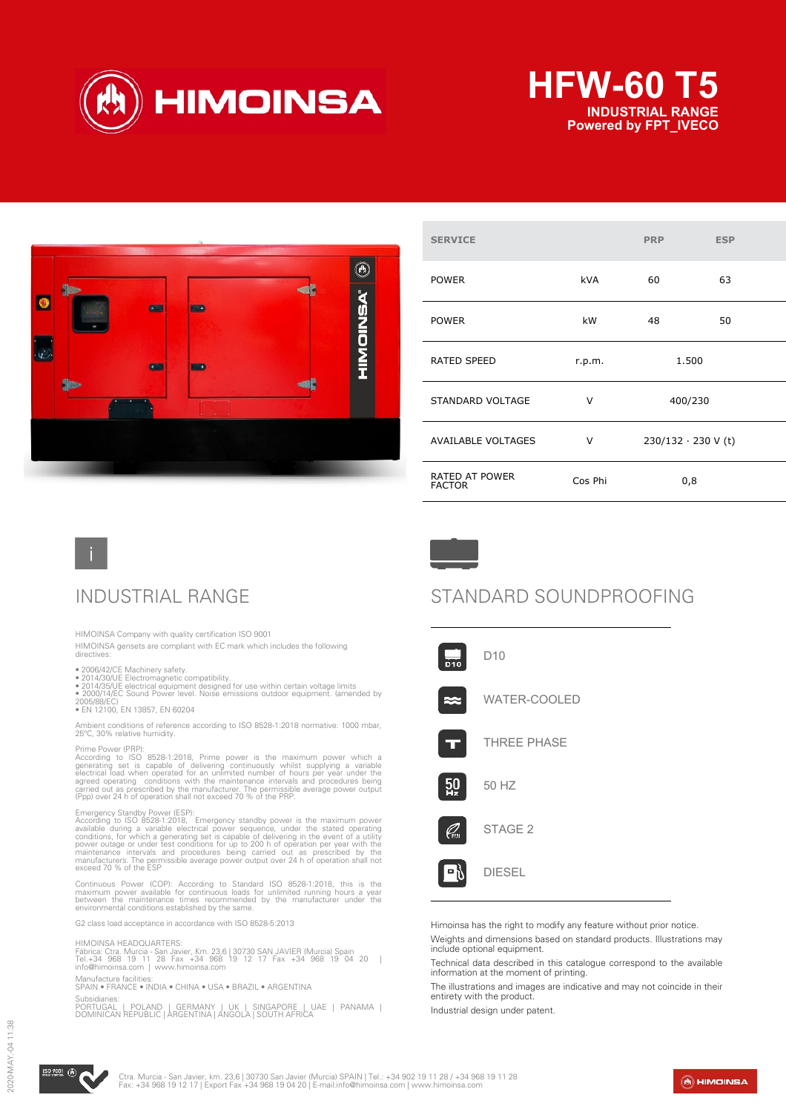





| <b>SERVICE</b>                         |            | <b>PRP</b>                | <b>ESP</b> |
|----------------------------------------|------------|---------------------------|------------|
| <b>POWER</b>                           | <b>kVA</b> | 60                        | 63         |
| <b>POWER</b>                           | kW         | 48                        | 50         |
| <b>RATED SPEED</b>                     | r.p.m.     | 1.500                     |            |
| STANDARD VOLTAGE                       | v          | 400/230                   |            |
| <b>AVAILABLE VOLTAGES</b>              | v          | $230/132 \cdot 230$ V (t) |            |
| <b>RATED AT POWER</b><br><b>FACTOR</b> | Cos Phi    | 0,8                       |            |

HIMOINSA Company with quality certification ISO 9001

HIMOINSA gensets are compliant with EC mark which includes the following directives:

- 
- 
- 2006/42/CE Machinery safety.<br>• 2014/30/UE Electromagnetic compatibility.<br>• 2014/35/UE electrical equipment designed for use within certain voltage limits<br>• 2000/14/EC Sound Power level. Noise emissions outdoor equipment.

2005/88/EC) • EN 12100, EN 13857, EN 60204

Ambient conditions of reference according to ISO 8528-1:2018 normative: 1000 mbar, 25ºC, 30% relative humidity.

Prime Power (PRP):<br>According to ISO 8528-1:2018, Prime power is the maximum power which a<br>generating set is capable of delivering continuously whilst supplying a variable<br>electrical load when operated for an unlimited numb

Emergency Standby Power (ESP):<br>According to ISO 8528-1:2018, Emergency standby power is the maximum power<br>available during a variable electrical power sequence, under the stated operating<br>conditions, for which a generating

Continuous Power (COP): According to Standard ISO 8528-1:2018, this is the<br>maximum power available for continuous loads for unlimited running hours a year<br>between the maintenance times recommended by the manufacturer under

G2 class load acceptance in accordance with ISO 8528-5:2013

### HIMOINSA HEADQUARTERS:

Fábrica: Ctra. Murcia - San Javier, Km. 23,6 | 30730 SAN JAVIER (Murcia) Spain<br>Tel.+34 968 19 11 28 Fax +34 968 19 12 17 Fax +34 968 19 04 20 |<br>info@himoinsa.com | www.himoinsa.com

Manufacture facilities: SPAIN • FRANCE • INDIA • CHINA • USA • BRAZIL • ARGENTINA

Subsidiaries:<br>PORTUGAL PORTUGAL | POLAND | GERMANY | UK | SINGAPORE | UAE | PANAMA | DOMINICAN REPUBLIC | ARGENTINA | ANGOLA | SOUTH AFRICA



## INDUSTRIAL RANGE STANDARD SOUNDPROOFING



Himoinsa has the right to modify any feature without prior notice.

Weights and dimensions based on standard products. Illustrations may include optional equipment.

Technical data described in this catalogue correspond to the available information at the moment of printing.

The illustrations and images are indicative and may not coincide in their entirety with the product.

Industrial design under patent.



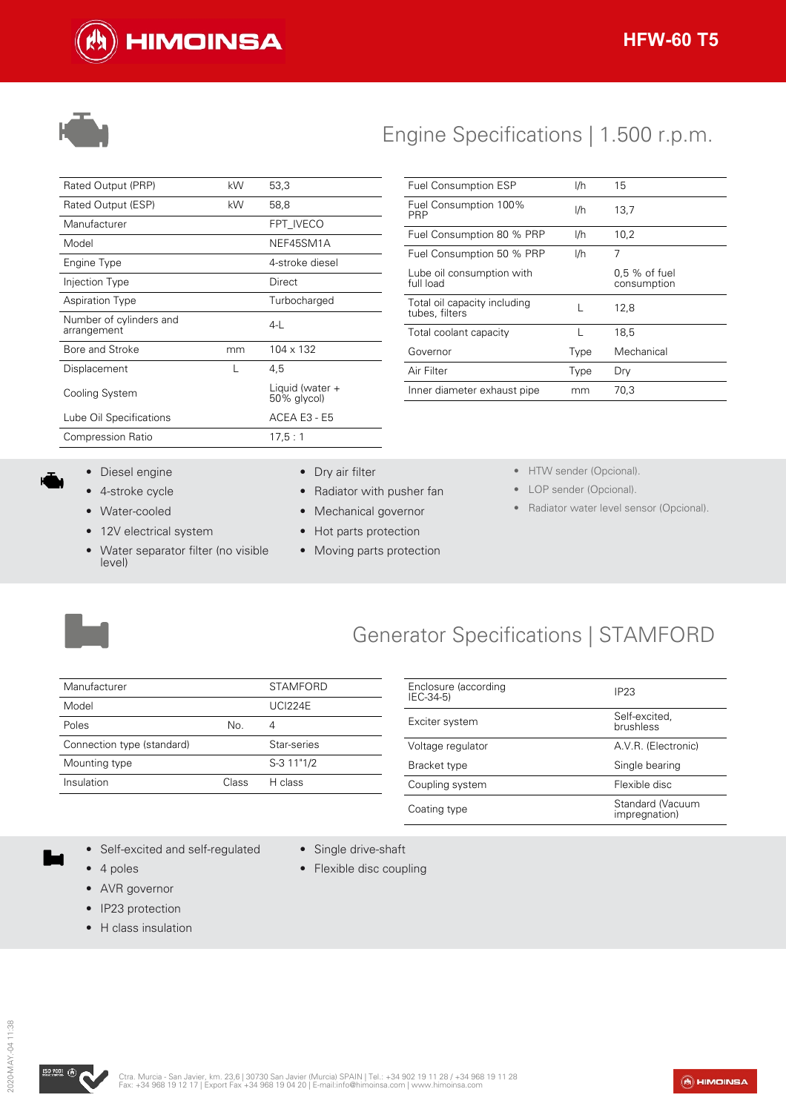



## Engine Specifications | 1.500 r.p.m.

| Rated Output (PRP)                     | kW | 53,3                           |
|----------------------------------------|----|--------------------------------|
| Rated Output (ESP)                     | kW | 58,8                           |
| Manufacturer                           |    | FPT IVECO                      |
| Model                                  |    | NEF45SM1A                      |
| Engine Type                            |    | 4-stroke diesel                |
| Injection Type                         |    | Direct                         |
| <b>Aspiration Type</b>                 |    | Turbocharged                   |
| Number of cylinders and<br>arrangement |    | $4-1$                          |
| Bore and Stroke                        | mm | 104 x 132                      |
| Displacement                           |    | 4,5                            |
| Cooling System                         |    | Liquid (water +<br>50% glycol) |
| Lube Oil Specifications                |    | ACEA E3 - E5                   |
| <b>Compression Ratio</b>               |    | 17,5:1                         |
|                                        |    |                                |

| <b>Fuel Consumption ESP</b>                    | I/h  | 15                             |
|------------------------------------------------|------|--------------------------------|
| Fuel Consumption 100%<br>PRP                   | I/h  | 13,7                           |
| Fuel Consumption 80 % PRP                      | I/h  | 10,2                           |
| Fuel Consumption 50 % PRP                      | I/h  | 7                              |
| Lube oil consumption with<br>full load         |      | $0.5\%$ of fuel<br>consumption |
| Total oil capacity including<br>tubes, filters |      | 12,8                           |
| Total coolant capacity                         | L    | 18,5                           |
| Governor                                       | Type | Mechanical                     |
| Air Filter                                     | Type | Dry                            |
| Inner diameter exhaust pipe                    | mm   | 70,3                           |

- Diesel engine
- 4-stroke cycle
- Water-cooled
- 12V electrical system
- Water separator filter (no visible level)
- Dry air filter
- Radiator with pusher fan
- Mechanical governor
- Hot parts protection

• Single drive-shaft • Flexible disc coupling

- Moving parts protection
- HTW sender (Opcional).
- LOP sender (Opcional).
- Radiator water level sensor (Opcional).



## Generator Specifications | STAMFORD

| Manufacturer               |       | <b>STAMFORD</b> |
|----------------------------|-------|-----------------|
| Model                      |       | <b>UCI224E</b>  |
| Poles                      | No.   |                 |
| Connection type (standard) |       | Star-series     |
| Mounting type              |       | S-3 11"1/2      |
| Insulation                 | Class | H class         |

| Enclosure (according<br>IEC-34-5) | IP <sub>23</sub>                  |
|-----------------------------------|-----------------------------------|
| Exciter system                    | Self-excited.<br>brushless        |
| Voltage regulator                 | A.V.R. (Electronic)               |
| Bracket type                      | Single bearing                    |
| Coupling system                   | Flexible disc                     |
| Coating type                      | Standard (Vacuum<br>impregnation) |

- Self-excited and self-regulated
- 4 poles
- AVR governor
- IP23 protection
- H class insulation



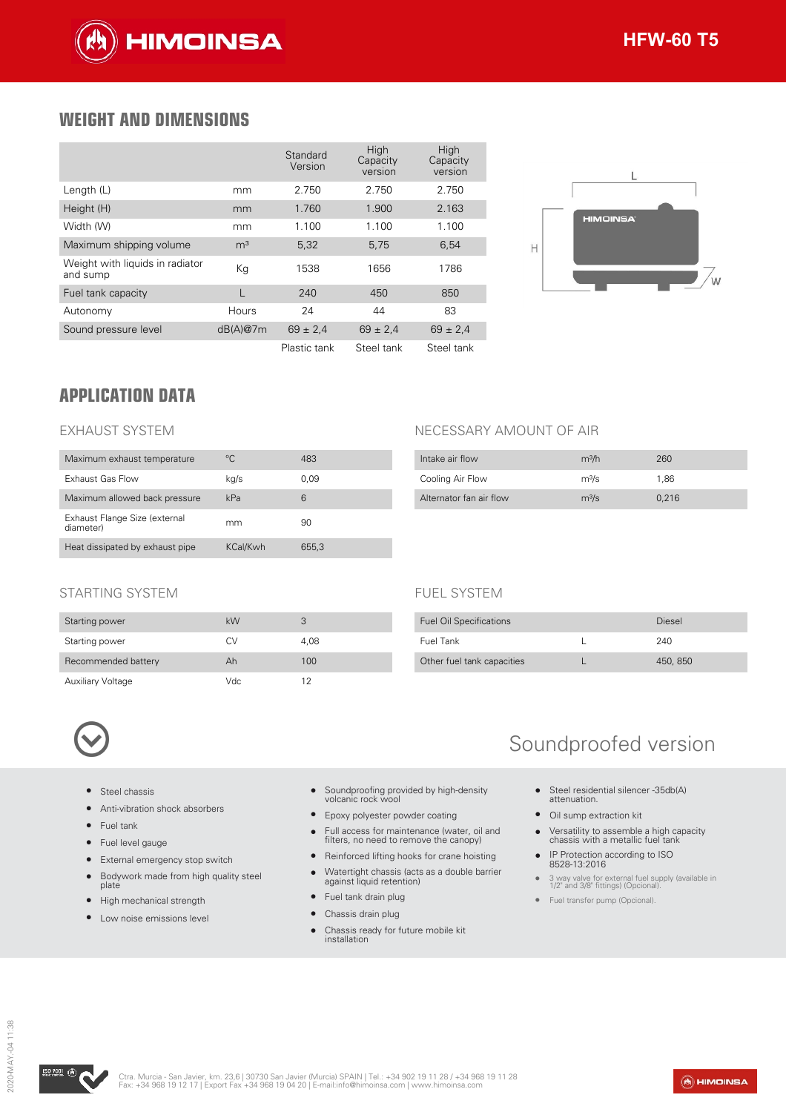

### **WEIGHT AND DIMENSIONS**

|                                             |                | Standard<br>Version | High<br>Capacity<br>version | High<br>Capacity<br>version |
|---------------------------------------------|----------------|---------------------|-----------------------------|-----------------------------|
| Length (L)                                  | mm             | 2.750               | 2.750                       | 2.750                       |
| Height (H)                                  | mm             | 1.760               | 1.900                       | 2.163                       |
| Width (W)                                   | mm             | 1.100               | 1.100                       | 1.100                       |
| Maximum shipping volume                     | m <sup>3</sup> | 5,32                | 5,75                        | 6,54                        |
| Weight with liguids in radiator<br>and sump | Кg             | 1538                | 1656                        | 1786                        |
| Fuel tank capacity                          |                | 240                 | 450                         | 850                         |
| Autonomy                                    | Hours          | 24                  | 44                          | 83                          |
| Sound pressure level                        | dB(A)@7m       | $69 \pm 2.4$        | $69 \pm 2.4$                | $69 \pm 2.4$                |
|                                             |                | Plastic tank        | Steel tank                  | Steel tank                  |



### **APPLICATION DATA**

### EXHAUST SYSTEM

| Maximum exhaust temperature                | °C.      | 483   |
|--------------------------------------------|----------|-------|
| Exhaust Gas Flow                           | kg/s     | 0.09  |
| Maximum allowed back pressure              | kPa      | 6     |
| Exhaust Flange Size (external<br>diameter) | mm       | 90    |
| Heat dissipated by exhaust pipe            | KCal/Kwh | 655.3 |

### NECESSARY AMOUNT OF AIR

FUEL SYSTEM

| Intake air flow         | m <sup>3</sup> /h | 260   |
|-------------------------|-------------------|-------|
| Cooling Air Flow        | m <sup>3</sup> /s | 1.86  |
| Alternator fan air flow | m <sup>3</sup> /s | 0.216 |

Fuel Oil Specifications **Diesel** Fuel Tank L 240 Other fuel tank capacities L 450, 850

### STARTING SYSTEM

| Starting power           | kW  |      |
|--------------------------|-----|------|
| Starting power           | C.V | 4.08 |
| Recommended battery      | Ah  | 100  |
| <b>Auxiliary Voltage</b> | Vdc | 12   |

- Steel chassis
- Anti-vibration shock absorbers
- Fuel tank
- Fuel level gauge
- External emergency stop switch
- Bodywork made from high quality steel plate
- High mechanical strength
- Low noise emissions level
- Soundproofing provided by high-density volcanic rock wool
- Epoxy polyester powder coating
- Full access for maintenance (water, oil and filters, no need to remove the canopy)
- Reinforced lifting hooks for crane hoisting
- Watertight chassis (acts as a double barrier against liquid retention)
- Fuel tank drain plug
- Chassis drain plug
- Chassis ready for future mobile kit installation

## Soundproofed version

- Steel residential silencer -35db(A) attenuation.
- Oil sump extraction kit
- Versatility to assemble a high capacity chassis with a metallic fuel tank
- IP Protection according to ISO 8528-13:2016
- 3 way valve for external fuel supply (available in 1/2" and 3/8" fittings) (Opcional).
- Fuel transfer pump (Opcional).

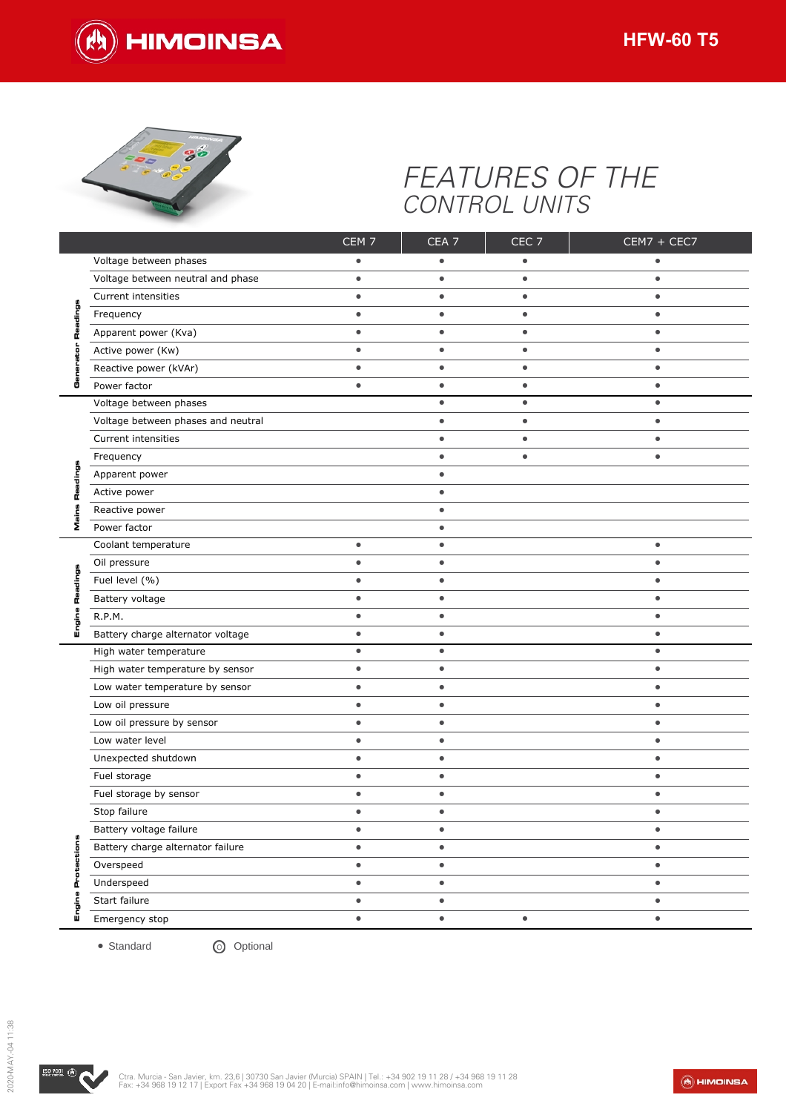



# *FEATURES OF THE CONTROL UNITS*

|           |                                    | CEM <sub>7</sub> | CEA <sub>7</sub> | CEC <sub>7</sub> | $CEM7 + CEC7$ |
|-----------|------------------------------------|------------------|------------------|------------------|---------------|
|           | Voltage between phases             | $\bullet$        |                  | $\bullet$        |               |
|           | Voltage between neutral and phase  | $\bullet$        | $\bullet$        | $\bullet$        | $\bullet$     |
|           | Current intensities                | $\bullet$        | $\bullet$        | $\bullet$        | $\bullet$     |
|           | Frequency                          | $\bullet$        | $\bullet$        | $\bullet$        | $\bullet$     |
| π         | Apparent power (Kva)               | $\bullet$        | $\bullet$        | $\bullet$        | $\bullet$     |
|           | Active power (Kw)                  | $\bullet$        | $\bullet$        | $\bullet$        | $\bullet$     |
|           | Reactive power (kVAr)              | $\bullet$        | $\bullet$        | $\bullet$        | $\bullet$     |
|           | Power factor                       | $\bullet$        | $\bullet$        | $\bullet$        | $\bullet$     |
|           | Voltage between phases             |                  | $\bullet$        | $\bullet$        | $\bullet$     |
|           | Voltage between phases and neutral |                  | $\bullet$        | $\bullet$        | $\bullet$     |
|           | Current intensities                |                  | $\bullet$        | $\bullet$        | $\bullet$     |
|           | Frequency                          |                  | $\bullet$        | $\bullet$        | $\bullet$     |
|           | Apparent power                     |                  | $\bullet$        |                  |               |
| π         | Active power                       |                  | $\bullet$        |                  |               |
|           | Reactive power                     |                  | ٠                |                  |               |
| Σ         | Power factor                       |                  | $\bullet$        |                  |               |
|           | Coolant temperature                | $\bullet$        | $\bullet$        |                  | $\bullet$     |
|           | Oil pressure                       | $\bullet$        | $\bullet$        |                  | $\bullet$     |
| ה<br>τ    | Fuel level (%)                     | $\bullet$        | $\bullet$        |                  | $\bullet$     |
|           | Battery voltage                    | $\bullet$        | $\bullet$        |                  | $\bullet$     |
|           | R.P.M.                             | $\bullet$        | $\bullet$        |                  | $\bullet$     |
| ш         | Battery charge alternator voltage  | $\bullet$        | $\bullet$        |                  | $\bullet$     |
|           | High water temperature             | $\bullet$        | $\bullet$        |                  | $\bullet$     |
|           | High water temperature by sensor   | $\bullet$        | $\bullet$        |                  | $\bullet$     |
|           | Low water temperature by sensor    | $\bullet$        | $\bullet$        |                  | $\bullet$     |
|           | Low oil pressure                   | $\bullet$        | $\bullet$        |                  | $\bullet$     |
|           | Low oil pressure by sensor         | $\bullet$        | $\bullet$        |                  | $\bullet$     |
|           | Low water level                    | $\bullet$        | $\bullet$        |                  | $\bullet$     |
|           | Unexpected shutdown                | $\bullet$        | $\bullet$        |                  | $\bullet$     |
|           | Fuel storage                       | $\bullet$        | $\bullet$        |                  | $\bullet$     |
|           | Fuel storage by sensor             | $\bullet$        | $\bullet$        |                  | $\bullet$     |
|           | Stop failure                       | $\bullet$        | $\bullet$        |                  | $\bullet$     |
|           | Battery voltage failure            | $\bullet$        | $\bullet$        |                  | $\bullet$     |
|           | Battery charge alternator failure  | $\bullet$        | $\bullet$        |                  | $\bullet$     |
| tections  | Overspeed                          | $\bullet$        | $\bullet$        |                  | $\bullet$     |
| ō<br>å    | Underspeed                         | $\bullet$        | $\bullet$        |                  | $\bullet$     |
| œ         | Start failure                      | $\bullet$        | $\bullet$        |                  | $\bullet$     |
| ig<br>Eng | Emergency stop                     | $\bullet$        | $\bullet$        | $\bullet$        | $\bullet$     |
|           | • Standard<br><b>O</b> Optional    |                  |                  |                  |               |

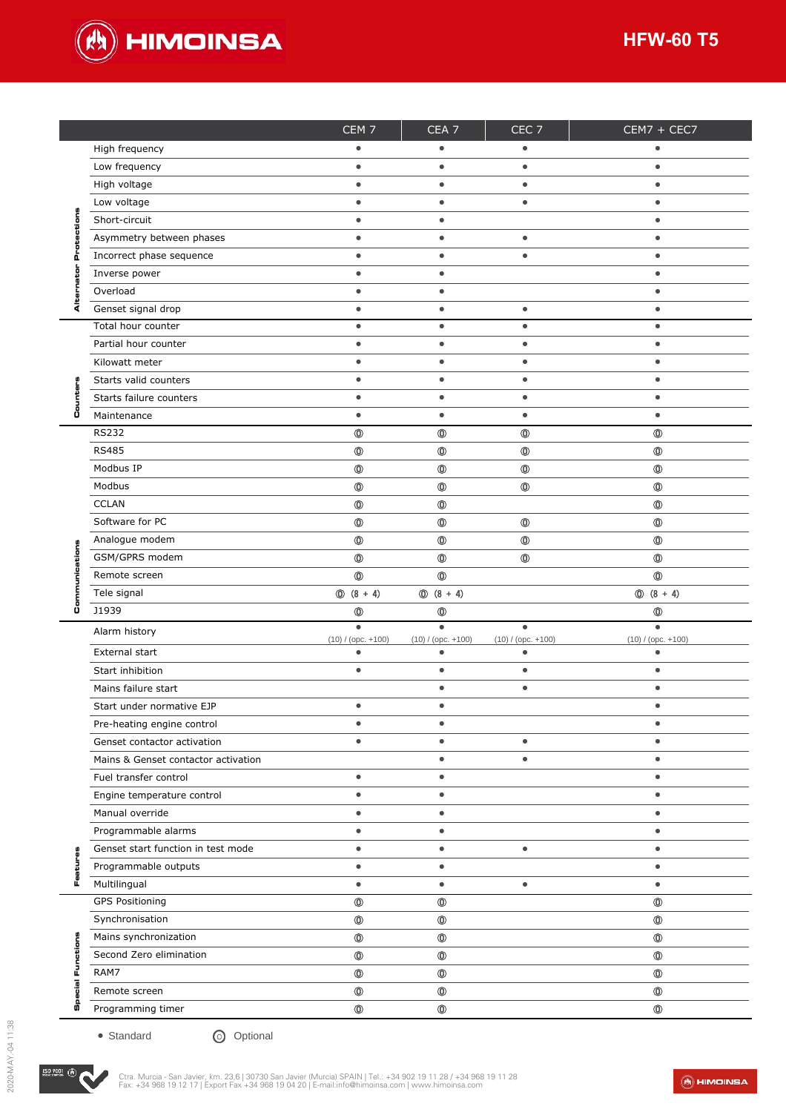

|    | High frequency<br>Low frequency           | $\bullet$                            | $\bullet$                            | $\bullet$                            | $\bullet$                            |
|----|-------------------------------------------|--------------------------------------|--------------------------------------|--------------------------------------|--------------------------------------|
|    | High voltage                              | $\bullet$                            | $\bullet$                            | $\bullet$                            | $\bullet$                            |
|    | Low voltage                               | $\bullet$                            | $\bullet$                            | $\bullet$                            | $\bullet$                            |
|    | Short-circuit                             | $\bullet$                            | $\bullet$                            |                                      | $\bullet$                            |
|    | Asymmetry between phases                  | $\bullet$                            | $\bullet$                            | $\bullet$                            | $\bullet$                            |
|    | Incorrect phase sequence                  | $\bullet$                            | $\bullet$                            | $\bullet$                            | $\bullet$                            |
|    | Inverse power                             | $\bullet$                            | $\bullet$                            |                                      | $\bullet$                            |
|    | Overload                                  | $\bullet$                            | $\bullet$                            |                                      | $\bullet$                            |
|    | Genset signal drop                        | $\bullet$                            | $\bullet$                            | $\bullet$                            | $\bullet$                            |
| ∢  | Total hour counter                        | $\bullet$                            | $\bullet$                            | $\bullet$                            | $\bullet$                            |
|    | Partial hour counter                      | $\bullet$                            | $\bullet$                            | $\bullet$                            | $\bullet$                            |
|    | Kilowatt meter                            |                                      |                                      | $\bullet$                            | $\bullet$                            |
|    |                                           | $\bullet$                            | $\bullet$                            |                                      |                                      |
|    | Starts valid counters                     | $\bullet$                            | $\bullet$                            | $\bullet$                            | $\bullet$                            |
|    | Starts failure counters                   | $\bullet$                            | $\bullet$                            | $\bullet$                            | $\bullet$                            |
| Ü  | Maintenance                               | $\bullet$                            | $\bullet$                            | $\bullet$                            | $\bullet$                            |
|    | <b>RS232</b>                              | $\circledcirc$                       | $\circledcirc$                       | $\circledcirc$                       | $\circledcirc$                       |
|    | <b>RS485</b>                              | $\circledcirc$                       | $^{\circ}$                           | $^\circledR$                         | $\circledcirc$                       |
|    | Modbus IP                                 | $\circledcirc$                       | $\circledcirc$                       | $\circledcirc$                       | $\circledcirc$                       |
|    | Modbus                                    | $\circledcirc$                       | $^\circledR$                         | $\circledcirc$                       | $\circledcirc$                       |
|    | <b>CCLAN</b>                              | $\circledcirc$                       | $\circledcirc$                       |                                      | $\circledcirc$                       |
|    | Software for PC                           | $\circledcirc$                       | $^{\circ}$                           | $^\circledR$                         | $\circledcirc$                       |
|    | Analogue modem                            | $\circledcirc$                       | $^{\circ}$                           | $\circledcirc$                       | $\circledcirc$                       |
|    | GSM/GPRS modem                            | $\circledcirc$                       | $\circledcirc$                       | $\circledcirc$                       | $\circledcirc$                       |
|    | Remote screen                             | $^{\circ}$                           | $\circledcirc$                       |                                      | $^\circledR$                         |
|    | Tele signal                               | $\circled{0}$ (8 + 4)                | $\circled{0}$ (8 + 4)                |                                      | $\circled{0}$ (8 + 4)                |
| ů  | J1939                                     | $\circledcirc$                       | $^\circledR$                         |                                      | $\circledcirc$                       |
|    | Alarm history                             | $\bullet$                            | $\bullet$                            | $\bullet$                            | $\bullet$                            |
|    | External start                            | $(10) / ($ opc. $+100)$<br>$\bullet$ | $(10) / ($ opc. $+100)$<br>$\bullet$ | $(10) / ($ opc. $+100)$<br>$\bullet$ | $(10) / ($ opc. $+100)$<br>$\bullet$ |
|    | Start inhibition                          | $\bullet$                            | $\bullet$                            | $\bullet$                            | $\bullet$                            |
|    | Mains failure start                       |                                      | $\bullet$                            | $\bullet$                            | $\bullet$                            |
|    | Start under normative EJP                 | $\bullet$                            | $\bullet$                            |                                      | $\bullet$                            |
|    | Pre-heating engine control                | $\bullet$                            | $\bullet$                            |                                      | $\bullet$                            |
|    | Genset contactor activation               | $\bullet$                            | $\bullet$                            | $\bullet$                            | $\bullet$                            |
|    | Mains & Genset contactor activation       |                                      | $\bullet$                            | $\bullet$                            | $\bullet$                            |
|    |                                           | $\bullet$                            | $\bullet$                            |                                      | $\bullet$                            |
|    | Fuel transfer control                     |                                      |                                      |                                      |                                      |
|    | Engine temperature control                | $\bullet$                            | $\bullet$                            |                                      | $\bullet$                            |
|    | Manual override                           | $\bullet$                            | $\bullet$                            |                                      | $\bullet$                            |
|    | Programmable alarms                       | $\bullet$                            | $\bullet$                            |                                      | $\bullet$                            |
|    |                                           |                                      | $\bullet$                            | $\bullet$                            | $\bullet$                            |
|    | Genset start function in test mode        | $\bullet$                            |                                      |                                      | $\bullet$                            |
|    | Programmable outputs                      | $\bullet$                            | $\bullet$                            |                                      |                                      |
| L  | Multilingual                              | $\bullet$                            | $\bullet$                            | $\bullet$                            | $\bullet$                            |
|    | <b>GPS Positioning</b>                    | $^{\circ}$                           | $\circledcirc$                       |                                      | $^{\circ}$                           |
|    | Synchronisation                           | $\circledcirc$                       | $\circledcirc$                       |                                      | $\circledcirc$                       |
|    | Mains synchronization                     | $\circledcirc$                       | $\circledcirc$                       |                                      | $\circledcirc$                       |
| ш  | Second Zero elimination                   | $\circledcirc$                       | $\circledcirc$                       |                                      | $\circledcirc$                       |
| ۱ĩ | RAM7                                      | $\circledcirc$                       | $^{\circ}$                           |                                      | $^\circledR$                         |
|    | Remote screen                             | $\circledcirc$                       | $\circledcirc$                       |                                      | $\circledcirc$                       |
| co | Programming timer                         | $^{\circ}$                           | $\circledcirc$                       |                                      | $\circledcirc$                       |
|    | $\bullet$ Standard<br>Optional<br>$\odot$ |                                      |                                      |                                      |                                      |